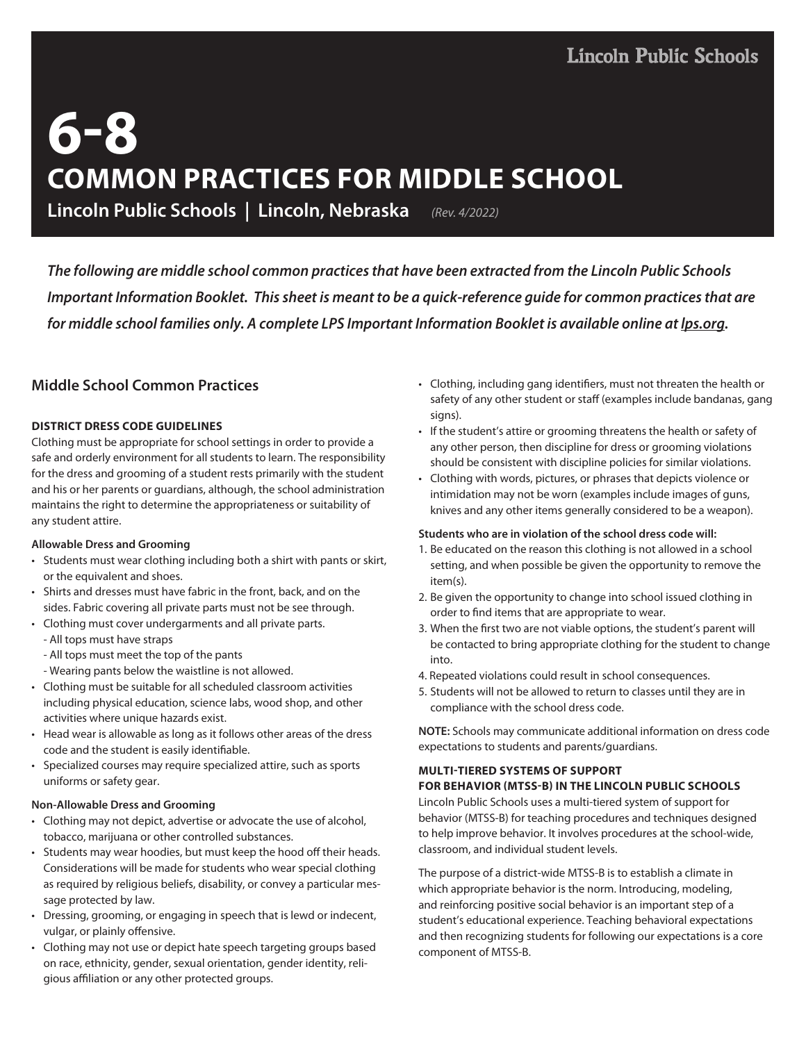# **6-8 COMMON PRACTICES FOR MIDDLE SCHOOL**

**Lincoln Public Schools | Lincoln, Nebraska** *(Rev. 4/2022)*

*The following are middle school common practices that have been extracted from the Lincoln Public Schools Important Information Booklet. This sheet is meant to be a quick-reference guide for common practices that are for middle school families only. A complete LPS Important Information Booklet is available online at lps.org.*

## **Middle School Common Practices**

## **DISTRICT DRESS CODE GUIDELINES**

Clothing must be appropriate for school settings in order to provide a safe and orderly environment for all students to learn. The responsibility for the dress and grooming of a student rests primarily with the student and his or her parents or guardians, although, the school administration maintains the right to determine the appropriateness or suitability of any student attire.

### **Allowable Dress and Grooming**

- Students must wear clothing including both a shirt with pants or skirt, or the equivalent and shoes.
- Shirts and dresses must have fabric in the front, back, and on the sides. Fabric covering all private parts must not be see through.
- Clothing must cover undergarments and all private parts.
	- All tops must have straps
	- All tops must meet the top of the pants
	- Wearing pants below the waistline is not allowed.
- Clothing must be suitable for all scheduled classroom activities including physical education, science labs, wood shop, and other activities where unique hazards exist.
- Head wear is allowable as long as it follows other areas of the dress code and the student is easily identifiable.
- Specialized courses may require specialized attire, such as sports uniforms or safety gear.

### **Non-Allowable Dress and Grooming**

- Clothing may not depict, advertise or advocate the use of alcohol, tobacco, marijuana or other controlled substances.
- Students may wear hoodies, but must keep the hood off their heads. Considerations will be made for students who wear special clothing as required by religious beliefs, disability, or convey a particular message protected by law.
- Dressing, grooming, or engaging in speech that is lewd or indecent, vulgar, or plainly offensive.
- Clothing may not use or depict hate speech targeting groups based on race, ethnicity, gender, sexual orientation, gender identity, religious affiliation or any other protected groups.
- Clothing, including gang identifiers, must not threaten the health or safety of any other student or staff (examples include bandanas, gang signs).
- If the student's attire or grooming threatens the health or safety of any other person, then discipline for dress or grooming violations should be consistent with discipline policies for similar violations.
- Clothing with words, pictures, or phrases that depicts violence or intimidation may not be worn (examples include images of guns, knives and any other items generally considered to be a weapon).

### **Students who are in violation of the school dress code will:**

- 1. Be educated on the reason this clothing is not allowed in a school setting, and when possible be given the opportunity to remove the item(s).
- 2. Be given the opportunity to change into school issued clothing in order to find items that are appropriate to wear.
- 3. When the first two are not viable options, the student's parent will be contacted to bring appropriate clothing for the student to change into.
- 4. Repeated violations could result in school consequences.
- 5. Students will not be allowed to return to classes until they are in compliance with the school dress code.

**NOTE:** Schools may communicate additional information on dress code expectations to students and parents/guardians.

### **MULTI-TIERED SYSTEMS OF SUPPORT**

## **FOR BEHAVIOR (MTSS-B) IN THE LINCOLN PUBLIC SCHOOLS**

Lincoln Public Schools uses a multi-tiered system of support for behavior (MTSS-B) for teaching procedures and techniques designed to help improve behavior. It involves procedures at the school-wide, classroom, and individual student levels.

The purpose of a district-wide MTSS-B is to establish a climate in which appropriate behavior is the norm. Introducing, modeling, and reinforcing positive social behavior is an important step of a student's educational experience. Teaching behavioral expectations and then recognizing students for following our expectations is a core component of MTSS-B.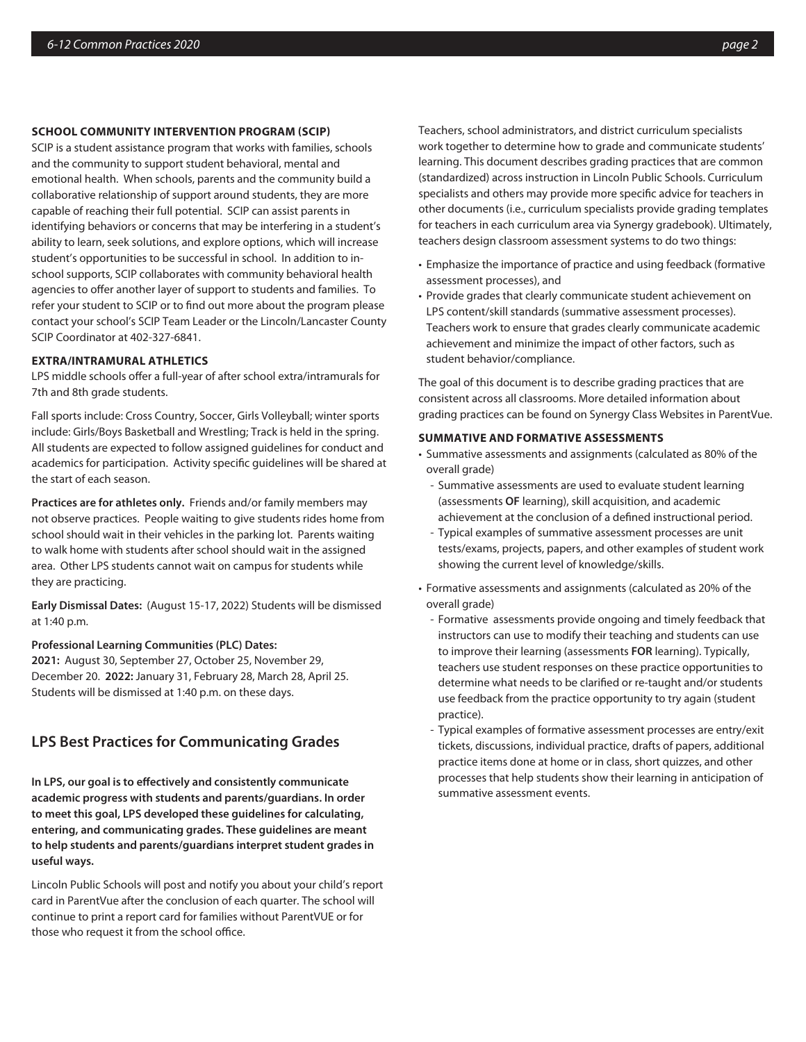#### **SCHOOL COMMUNITY INTERVENTION PROGRAM (SCIP)**

SCIP is a student assistance program that works with families, schools and the community to support student behavioral, mental and emotional health. When schools, parents and the community build a collaborative relationship of support around students, they are more capable of reaching their full potential. SCIP can assist parents in identifying behaviors or concerns that may be interfering in a student's ability to learn, seek solutions, and explore options, which will increase student's opportunities to be successful in school. In addition to inschool supports, SCIP collaborates with community behavioral health agencies to offer another layer of support to students and families. To refer your student to SCIP or to find out more about the program please contact your school's SCIP Team Leader or the Lincoln/Lancaster County SCIP Coordinator at 402-327-6841.

#### **EXTRA/INTRAMURAL ATHLETICS**

LPS middle schools offer a full-year of after school extra/intramurals for 7th and 8th grade students.

Fall sports include: Cross Country, Soccer, Girls Volleyball; winter sports include: Girls/Boys Basketball and Wrestling; Track is held in the spring. All students are expected to follow assigned guidelines for conduct and academics for participation. Activity specific guidelines will be shared at the start of each season.

**Practices are for athletes only.** Friends and/or family members may not observe practices. People waiting to give students rides home from school should wait in their vehicles in the parking lot. Parents waiting to walk home with students after school should wait in the assigned area. Other LPS students cannot wait on campus for students while they are practicing.

**Early Dismissal Dates:** (August 15-17, 2022) Students will be dismissed at 1:40 p.m.

#### **Professional Learning Communities (PLC) Dates:**

**2021:** August 30, September 27, October 25, November 29, December 20. **2022:** January 31, February 28, March 28, April 25. Students will be dismissed at 1:40 p.m. on these days.

## **LPS Best Practices for Communicating Grades**

**In LPS, our goal is to effectively and consistently communicate academic progress with students and parents/guardians. In order to meet this goal, LPS developed these guidelines for calculating, entering, and communicating grades. These guidelines are meant to help students and parents/guardians interpret student grades in useful ways.** 

Lincoln Public Schools will post and notify you about your child's report card in ParentVue after the conclusion of each quarter. The school will continue to print a report card for families without ParentVUE or for those who request it from the school office.

Teachers, school administrators, and district curriculum specialists work together to determine how to grade and communicate students' learning. This document describes grading practices that are common (standardized) across instruction in Lincoln Public Schools. Curriculum specialists and others may provide more specific advice for teachers in other documents (i.e., curriculum specialists provide grading templates for teachers in each curriculum area via Synergy gradebook). Ultimately, teachers design classroom assessment systems to do two things:

- Emphasize the importance of practice and using feedback (formative assessment processes), and
- Provide grades that clearly communicate student achievement on LPS content/skill standards (summative assessment processes). Teachers work to ensure that grades clearly communicate academic achievement and minimize the impact of other factors, such as student behavior/compliance.

The goal of this document is to describe grading practices that are consistent across all classrooms. More detailed information about grading practices can be found on Synergy Class Websites in ParentVue.

#### **SUMMATIVE AND FORMATIVE ASSESSMENTS**

- Summative assessments and assignments (calculated as 80% of the overall grade)
	- Summative assessments are used to evaluate student learning (assessments **OF** learning), skill acquisition, and academic achievement at the conclusion of a defined instructional period.
	- Typical examples of summative assessment processes are unit tests/exams, projects, papers, and other examples of student work showing the current level of knowledge/skills.
- Formative assessments and assignments (calculated as 20% of the overall grade)
	- Formative assessments provide ongoing and timely feedback that instructors can use to modify their teaching and students can use to improve their learning (assessments **FOR** learning). Typically, teachers use student responses on these practice opportunities to determine what needs to be clarified or re-taught and/or students use feedback from the practice opportunity to try again (student practice).
	- Typical examples of formative assessment processes are entry/exit tickets, discussions, individual practice, drafts of papers, additional practice items done at home or in class, short quizzes, and other processes that help students show their learning in anticipation of summative assessment events.